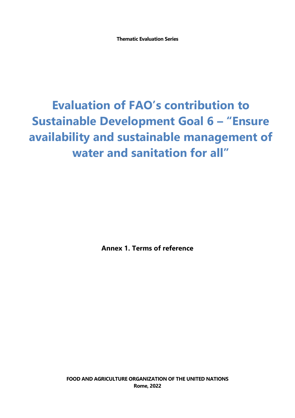**Thematic Evaluation Series**

# **Evaluation of FAO's contribution to Sustainable Development Goal 6 – "Ensure availability and sustainable management of water and sanitation for all"**

**Annex 1. Terms of reference**

**FOOD AND AGRICULTURE ORGANIZATION OF THE UNITED NATIONS Rome, 2022**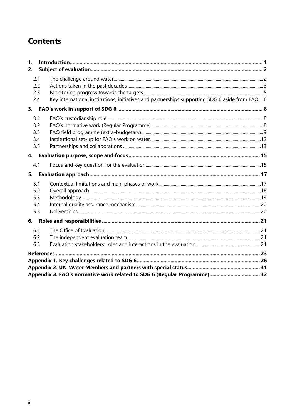# **Contents**

| $\mathbf{1}$ |  |                                                                                                |  |
|--------------|--|------------------------------------------------------------------------------------------------|--|
| 2.           |  |                                                                                                |  |
| 2.1          |  |                                                                                                |  |
| 2.2          |  |                                                                                                |  |
| 2.3          |  |                                                                                                |  |
| 2.4          |  | Key international institutions, initiatives and partnerships supporting SDG 6 aside from FAO 6 |  |
|              |  |                                                                                                |  |
| 3.1          |  |                                                                                                |  |
| 3.2          |  |                                                                                                |  |
| 3.3          |  |                                                                                                |  |
| 3.4          |  |                                                                                                |  |
| 3.5          |  |                                                                                                |  |
| 4.           |  |                                                                                                |  |
| 4.1          |  |                                                                                                |  |
| 5.           |  |                                                                                                |  |
| 5.1          |  |                                                                                                |  |
| 5.2          |  |                                                                                                |  |
| 5.3          |  |                                                                                                |  |
| 5.4          |  |                                                                                                |  |
| 5.5          |  |                                                                                                |  |
|              |  |                                                                                                |  |
| 6.1          |  |                                                                                                |  |
| 6.2          |  |                                                                                                |  |
| 6.3          |  |                                                                                                |  |
|              |  |                                                                                                |  |
|              |  |                                                                                                |  |
|              |  |                                                                                                |  |
|              |  |                                                                                                |  |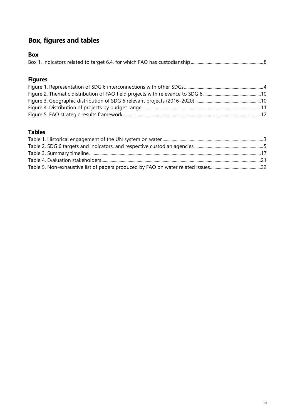# **Box, figures and tables**

| <b>Box</b> |
|------------|
|            |

# **Figures**

### **Tables**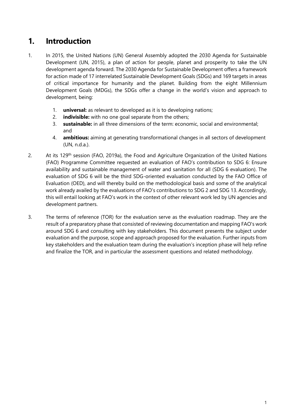# <span id="page-3-0"></span>**1. Introduction**

- 1. In 2015, the United Nations (UN) General Assembly adopted the 2030 Agenda for Sustainable Development (UN, 2015), a plan of action for people, planet and prosperity to take the UN development agenda forward. The 2030 Agenda for Sustainable Development offers a framework for action made of 17 interrelated Sustainable Development Goals (SDGs) and 169 targets in areas of critical importance for humanity and the planet. Building from the eight Millennium Development Goals (MDGs), the SDGs offer a change in the world's vision and approach to development, being:
	- 1. **universal:** as relevant to developed as it is to developing nations;
	- 2. **indivisible:** with no one goal separate from the others;
	- 3. **sustainable:** in all three dimensions of the term: economic, social and environmental; and
	- 4. **ambitious:** aiming at generating transformational changes in all sectors of development (UN, n.d.a.).
- 2. At its 129<sup>th</sup> session (FAO, 2019a), the Food and Agriculture Organization of the United Nations (FAO) Programme Committee requested an evaluation of FAO's contribution to SDG 6: Ensure availability and sustainable management of water and sanitation for all (SDG 6 evaluation). The evaluation of SDG 6 will be the third SDG-oriented evaluation conducted by the FAO Office of Evaluation (OED), and will thereby build on the methodological basis and some of the analytical work already availed by the evaluations of FAO's contributions to SDG 2 and SDG 13. Accordingly, this will entail looking at FAO's work in the context of other relevant work led by UN agencies and development partners.
- 3. The terms of reference (TOR) for the evaluation serve as the evaluation roadmap. They are the result of a preparatory phase that consisted of reviewing documentation and mapping FAO's work around SDG 6 and consulting with key stakeholders. This document presents the subject under evaluation and the purpose, scope and approach proposed for the evaluation. Further inputs from key stakeholders and the evaluation team during the evaluation's inception phase will help refine and finalize the TOR, and in particular the assessment questions and related methodology.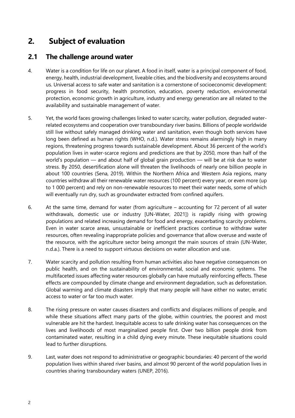# <span id="page-4-0"></span>**2. Subject of evaluation**

### <span id="page-4-1"></span>**2.1 The challenge around water**

- 4. Water is a condition for life on our planet. A food in itself, water is a principal component of food, energy, health, industrial development, liveable cities, and the biodiversity and ecosystems around us. Universal access to safe water and sanitation is a cornerstone of socioeconomic development: progress in food security, health promotion, education, poverty reduction, environmental protection, economic growth in agriculture, industry and energy generation are all related to the availability and sustainable management of water.
- 5. Yet, the world faces growing challenges linked to water scarcity, water pollution, degraded waterrelated ecosystems and cooperation over transboundary river basins. Billions of people worldwide still live without safely managed drinking water and sanitation, even though both services have long been defined as human rights (WHO, n.d.). Water stress remains alarmingly high in many regions, threatening progress towards sustainable development. About 36 percent of the world's population lives in water-scarce regions and predictions are that by 2050, more than half of the world's population — and about half of global grain production — will be at risk due to water stress. By 2050, desertification alone will threaten the livelihoods of nearly one billion people in about 100 countries (Sena, 2019). Within the Northern Africa and Western Asia regions, many countries withdraw all their renewable water resources (100 percent) every year, or even more (up to 1 000 percent) and rely on non-renewable resources to meet their water needs, some of which will eventually run dry, such as groundwater extracted from confined aquifers.
- 6. At the same time, demand for water (from agriculture accounting for 72 percent of all water withdrawals, domestic use or industry [UN-Water, 2021]) is rapidly rising with growing populations and related increasing demand for food and energy, exacerbating scarcity problems. Even in water scarce areas, unsustainable or inefficient practices continue to withdraw water resources, often revealing inappropriate policies and governance that allow overuse and waste of the resource, with the agriculture sector being amongst the main sources of strain (UN-Water, n.d.a.). There is a need to support virtuous decisions on water allocation and use.
- 7. Water scarcity and pollution resulting from human activities also have negative consequences on public health, and on the sustainability of environmental, social and economic systems. The multifaceted issues affecting water resources globally can have mutually reinforcing effects. These effects are compounded by climate change and environment degradation, such as deforestation. Global warming and climate disasters imply that many people will have either no water, erratic access to water or far too much water.
- 8. The rising pressure on water causes disasters and conflicts and displaces millions of people, and while these situations affect many parts of the globe, within countries, the poorest and most vulnerable are hit the hardest. Inequitable access to safe drinking water has consequences on the lives and livelihoods of most marginalized people first. Over two billion people drink from contaminated water, resulting in a child dying every minute. These inequitable situations could lead to further disruptions.
- 9. Last, water does not respond to administrative or geographic boundaries: 40 percent of the world population lives within shared river basins, and almost 90 percent of the world population lives in countries sharing transboundary waters (UNEP, 2016).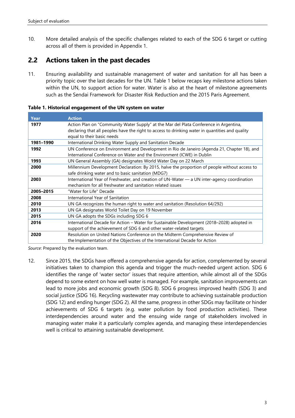10. More detailed analysis of the specific challenges related to each of the SDG 6 target or cutting across all of them is provided in Appendix 1.

# <span id="page-5-0"></span>**2.2 Actions taken in the past decades**

11. Ensuring availability and sustainable management of water and sanitation for all has been a priority topic over the last decades for the UN. Table 1 below recaps key milestone actions taken within the UN, to support action for water. Water is also at the heart of milestone agreements such as the Sendai Framework for Disaster Risk Reduction and the 2015 Paris Agreement.

**Year Action 1977** Action Plan on "Community Water Supply" at the Mar del Plata Conference in Argentina, declaring that all peoples have the right to access to drinking water in quantities and quality equal to their basic needs **1981–1990** International Drinking Water Supply and Sanitation Decade **1992** UN Conference on Environment and Development in Rio de Janeiro (Agenda 21, Chapter 18), and International Conference on Water and the Environment (ICWE) in Dublin **1993** UN General Assembly (GA) designates World Water Day on 22 March **2000** Millennium Development Declaration: By 2015, halve the proportion of people without access to safe drinking water and to basic sanitation (MDG7) **2003** International Year of Freshwater, and creation of UN-Water — a UN inter-agency coordination mechanism for all freshwater and sanitation related issues **2005–2015** "Water for Life" Decade **2008** International Year of Sanitation **2010** UN GA recognizes the human right to water and sanitation (Resolution 64/292) **2013** UN GA designates World Toilet Day on 19 November **2015** UN GA adopts the SDGs including SDG 6 **2016** International Decade for Action – Water for Sustainable Development (2018–2028) adopted in

support of the achievement of SDG 6 and other water-related targets **2020** Resolution on United Nations Conference on the Midterm Comprehensive Review of

the Implementation of the Objectives of the International Decade for Action

<span id="page-5-1"></span>**Table 1. Historical engagement of the UN system on water**

*Source*: Prepared by the evaluation team.

12. Since 2015, the SDGs have offered a comprehensive agenda for action, complemented by several initiatives taken to champion this agenda and trigger the much-needed urgent action. SDG 6 identifies the range of 'water sector' issues that require attention, while almost all of the SDGs depend to some extent on how well water is managed. For example, sanitation improvements can lead to more jobs and economic growth (SDG 8). SDG 6 progress improved health (SDG 3) and social justice (SDG 16). Recycling wastewater may contribute to achieving sustainable production (SDG 12) and ending hunger (SDG 2). All the same, progress in other SDGs may facilitate or hinder achievements of SDG 6 targets (e.g. water pollution by food production activities). These interdependencies around water and the ensuing wide range of stakeholders involved in managing water make it a particularly complex agenda, and managing these interdependencies well is critical to attaining sustainable development.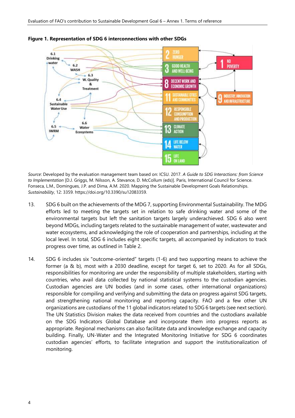

#### <span id="page-6-0"></span>**Figure 1. Representation of SDG 6 interconnections with other SDGs**

*Source*: Developed by the evaluation management team based on: ICSU. 2017. *A Guide to SDG Interactions: from Science to Implementation* [D.J. Griggs, M. Nilsson, A. Stevance, D. McCollum (eds)]. Paris, International Council for Science. Fonseca, L.M., Domingues, J.P. and Dima, A.M. 2020. Mapping the Sustainable Development Goals Relationships. *Sustainability*, 12: 3359. https://doi.org/10.3390/su12083359.

- 13. SDG 6 built on the achievements of the MDG 7, supporting Environmental Sustainability. The MDG efforts led to meeting the targets set in relation to safe drinking water and some of the environmental targets but left the sanitation targets largely underachieved. SDG 6 also went beyond MDGs, including targets related to the sustainable management of water, wastewater and water ecosystems, and acknowledging the role of cooperation and partnerships, including at the local level. In total, SDG 6 includes eight specific targets, all accompanied by indicators to track progress over time, as outlined in Table 2.
- 14. SDG 6 includes six "outcome-oriented" targets (1-6) and two supporting means to achieve the former (a & b), most with a 2030 deadline, except for target 6, set to 2020. As for all SDGs, responsibilities for monitoring are under the responsibility of multiple stakeholders, starting with countries, who avail data collected by national statistical systems to the custodian agencies. Custodian agencies are UN bodies (and in some cases, other international organizations) responsible for compiling and verifying and submitting the data on progress against SDG targets, and strengthening national monitoring and reporting capacity. FAO and a few other UN organizations are custodians of the 11 global indicators related to SDG 6 targets (see next section). The UN Statistics Division makes the data received from countries and the custodians available on the SDG Indicators Global Database and incorporate them into progress reports as appropriate. Regional mechanisms can also facilitate data and knowledge exchange and capacity building. Finally, UN-Water and the Integrated Monitoring Initiative for SDG 6 coordinates custodian agencies' efforts, to facilitate integration and support the institutionalization of monitoring.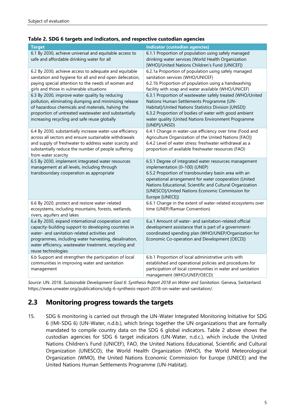#### <span id="page-7-1"></span>**Table 2. SDG 6 targets and indicators, and respective custodian agencies**

| <b>Target</b>                                                                                                                                                                                                                                                                                     | <b>Indicator (custodian agencies)</b>                                                                                                                                                                                                                                                                                                      |
|---------------------------------------------------------------------------------------------------------------------------------------------------------------------------------------------------------------------------------------------------------------------------------------------------|--------------------------------------------------------------------------------------------------------------------------------------------------------------------------------------------------------------------------------------------------------------------------------------------------------------------------------------------|
| 6.1 By 2030, achieve universal and equitable access to<br>safe and affordable drinking water for all                                                                                                                                                                                              | 6.1.1 Proportion of population using safely managed<br>drinking water services (World Health Organization<br>[WHO]/United Nations Children's Fund [UNICEF])                                                                                                                                                                                |
| 6.2 By 2030, achieve access to adequate and equitable<br>sanitation and hygiene for all and end open defecation,<br>paying special attention to the needs of women and<br>girls and those in vulnerable situations                                                                                | 6.2.1a Proportion of population using safely managed<br>sanitation services (WHO/UNICEF)<br>6.2.1b Proportion of population using a handwashing<br>facility with soap and water available (WHO/UNICEF)                                                                                                                                     |
| 6.3 By 2030, improve water quality by reducing<br>pollution, eliminating dumping and minimizing release<br>of hazardous chemicals and materials, halving the<br>proportion of untreated wastewater and substantially<br>increasing recycling and safe reuse globally                              | 6.3.1 Proportion of wastewater safely treated (WHO/United<br>Nations Human Settlements Programme [UN-<br>Habitat]/United Nations Statistics Division [UNSD])<br>6.3.2 Proportion of bodies of water with good ambient<br>water quality (United Nations Environment Programme<br>[UNEP]/UNSD)                                               |
| 6.4 By 2030, substantially increase water-use efficiency<br>across all sectors and ensure sustainable withdrawals<br>and supply of freshwater to address water scarcity and<br>substantially reduce the number of people suffering<br>from water scarcity                                         | 6.4.1 Change in water-use efficiency over time (Food and<br>Agriculture Organization of the United Nations [FAO])<br>6.4.2 Level of water stress: freshwater withdrawal as a<br>proportion of available freshwater resources (FAO)                                                                                                         |
| 6.5 By 2030, implement integrated water resources<br>management at all levels, including through<br>transboundary cooperation as appropriate                                                                                                                                                      | 6.5.1 Degree of integrated water resources management<br>implementation (0-100) (UNEP)<br>6.5.2 Proportion of transboundary basin area with an<br>operational arrangement for water cooperation (United<br>Nations Educational, Scientific and Cultural Organization<br>[UNESCO]/United Nations Economic Commission for<br>Europe [UNECE]) |
| 6.6 By 2020, protect and restore water-related<br>ecosystems, including mountains, forests, wetlands,<br>rivers, aquifers and lakes                                                                                                                                                               | 6.6.1 Change in the extent of water-related ecosystems over<br>time (UNEP/Ramsar Convention)                                                                                                                                                                                                                                               |
| 6.a By 2030, expand international cooperation and<br>capacity-building support to developing countries in<br>water- and sanitation-related activities and<br>programmes, including water harvesting, desalination,<br>water efficiency, wastewater treatment, recycling and<br>reuse technologies | 6.a.1 Amount of water- and sanitation-related official<br>development assistance that is part of a government-<br>coordinated spending plan (WHO/UNEP/Organization for<br>Economic Co-operation and Development [OECD])                                                                                                                    |
| 6.b Support and strengthen the participation of local<br>communities in improving water and sanitation<br>management                                                                                                                                                                              | 6.b.1 Proportion of local administrative units with<br>established and operational policies and procedures for<br>participation of local communities in water and sanitation<br>management (WHO/UNEP/OECD)                                                                                                                                 |

*Source*: UN. 2018. *Sustainable Development Goal 6: Synthesis Report 2018 on Water and Sanitation*. Geneva, Switzerland. https://www.unwater.org/publications/sdg-6-synthesis-report-2018-on-water-and-sanitation/.

# <span id="page-7-0"></span>**2.3 Monitoring progress towards the targets**

15. SDG 6 monitoring is carried out through the UN-Water Integrated Monitoring Initiative for SDG 6 (IMI-SDG 6) (UN-Water, n.d.b.), which brings together the UN organizations that are formally mandated to compile country data on the SDG 6 global indicators. Table 2 above shows the custodian agencies for SDG 6 target indicators (UN-Water, n.d.c.), which include the United Nations Children's Fund (UNICEF), FAO, the United Nations Educational, Scientific and Cultural Organization (UNESCO), the World Health Organization (WHO), the World Meteorological Organization (WMO), the United Nations Economic Commission for Europe (UNECE) and the United Nations Human Settlements Programme (UN-Habitat).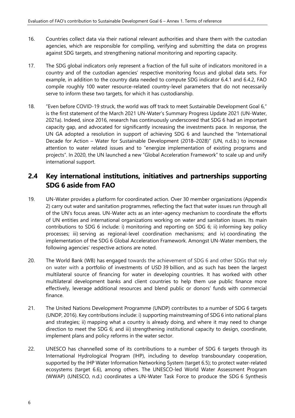- 16. Countries collect data via their national relevant authorities and share them with the custodian agencies, which are responsible for compiling, verifying and submitting the data on progress against SDG targets, and strengthening national monitoring and reporting capacity.
- 17. The SDG global indicators only represent a fraction of the full suite of indicators monitored in a country and of the custodian agencies' respective monitoring focus and global data sets. For example, in addition to the country data needed to compute SDG indicator 6.4.1 and 6.4.2, FAO compile roughly 100 water resource-related country-level parameters that do not necessarily serve to inform these two targets, for which it has custodianship.
- 18. "Even before COVID-19 struck, the world was off track to meet Sustainable Development Goal 6," is the first statement of the March 2021 UN-Water's Summary Progress Update 2021 (UN-Water, 2021a). Indeed, since 2016, research has continuously underscored that SDG 6 had an important capacity gap, and advocated for significantly increasing the investments pace. In response, the UN GA adopted a resolution in support of achieving SDG 6 and launched the "International Decade for Action – Water for Sustainable Development (2018–2028)" (UN, n.d.b.) to increase attention to water related issues and to "energize implementation of existing programs and projects". In 2020, the UN launched a new "Global Acceleration Framework" to scale up and unify international support.

# <span id="page-8-0"></span>**2.4 Key international institutions, initiatives and partnerships supporting SDG 6 aside from FAO**

- 19. UN-Water provides a platform for coordinated action. Over 30 member organizations (Appendix 2) carry out water and sanitation programmes, reflecting the fact that water issues run through all of the UN's focus areas. UN-Water acts as an inter-agency mechanism to coordinate the efforts of UN entities and international organizations working on water and sanitation issues. Its main contributions to SDG 6 include: i) monitoring and reporting on SDG 6; ii) informing key policy processes; iii) serving as regional-level coordination mechanisms; and iv) coordinating the implementation of the SDG 6 Global Acceleration Framework. Amongst UN-Water members, the following agencies' respective actions are noted.
- 20. The World Bank (WB) has engaged towards the achievement of SDG 6 and other SDGs that rely on water with a portfolio of investments of USD 39 billion, and as such has been the largest multilateral source of financing for water in developing countries. It has worked with other multilateral development banks and client countries to help them use public finance more effectively, leverage additional resources and blend public or donors' funds with commercial finance.
- 21. The United Nations Development Programme (UNDP) contributes to a number of SDG 6 targets (UNDP, 2016). Key contributions include: i) supporting mainstreaming of SDG 6 into national plans and strategies; ii) mapping what a country is already doing, and where it may need to change direction to meet the SDG 6; and iii) strengthening institutional capacity to design, coordinate, implement plans and policy reforms in the water sector.
- 22. UNESCO has channelled some of its contributions to a number of SDG 6 targets through its International Hydrological Program (IHP), including to develop transboundary cooperation, supported by the IHP Water Information Networking System (target 6.5); to protect water-related ecosystems (target 6.6), among others. The UNESCO-led World Water Assessment Program (WWAP) (UNESCO, n.d.) coordinates a UN-Water Task Force to produce the SDG 6 Synthesis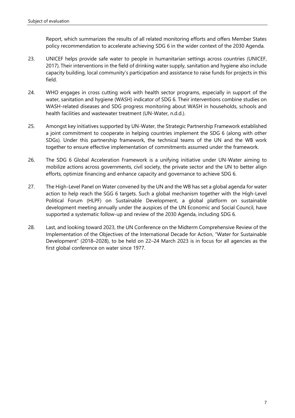Report, which summarizes the results of all related monitoring efforts and offers Member States policy recommendation to accelerate achieving SDG 6 in the wider context of the 2030 Agenda.

- 23. UNICEF helps provide safe water to people in humanitarian settings across countries (UNICEF, 2017). Their interventions in the field of drinking water supply, sanitation and hygiene also include capacity building, local community's participation and assistance to raise funds for projects in this field.
- 24. WHO engages in cross cutting work with health sector programs, especially in support of the water, sanitation and hygiene (WASH) indicator of SDG 6. Their interventions combine studies on WASH-related diseases and SDG progress monitoring about WASH in households, schools and health facilities and wastewater treatment (UN-Water, n.d.d.).
- 25. Amongst key initiatives supported by UN-Water, the Strategic Partnership Framework established a joint commitment to cooperate in helping countries implement the SDG 6 (along with other SDGs). Under this partnership framework, the technical teams of the UN and the WB work together to ensure effective implementation of commitments assumed under the framework.
- 26. The SDG 6 Global Acceleration Framework is a unifying initiative under UN-Water aiming to mobilize actions across governments, civil society, the private sector and the UN to better align efforts, optimize financing and enhance capacity and governance to achieve SDG 6.
- 27. The High-Level Panel on Water convened by the UN and the WB has set a global agenda for water action to help reach the SGG 6 targets. Such a global mechanism together with the High-Level Political Forum (HLPF) on Sustainable Development, a global platform on sustainable development meeting annually under the auspices of the UN Economic and Social Council, have supported a systematic follow-up and review of the 2030 Agenda, including SDG 6.
- 28. Last, and looking toward 2023, the UN Conference on the Midterm Comprehensive Review of the Implementation of the Objectives of the International Decade for Action, "Water for Sustainable Development" (2018–2028), to be held on 22–24 March 2023 is in focus for all agencies as the first global conference on water since 1977.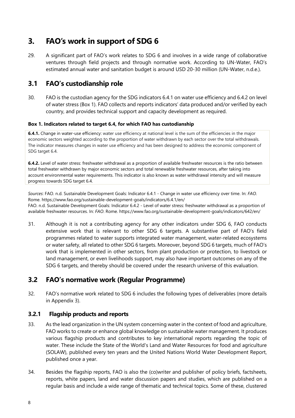# <span id="page-10-0"></span>**3. FAO's work in support of SDG 6**

29. A significant part of FAO's work relates to SDG 6 and involves in a wide range of collaborative ventures through field projects and through normative work. According to UN-Water, FAO's estimated annual water and sanitation budget is around USD 20-30 million (UN-Water, n.d.e.).

# <span id="page-10-1"></span>**3.1 FAO's custodianship role**

30. FAO is the custodian agency for the SDG indicators 6.4.1 on water use efficiency and 6.4.2 on level of water stress (Box 1). FAO collects and reports indicators' data produced and/or verified by each country, and provides technical support and capacity development as required.

#### <span id="page-10-3"></span>**Box 1. Indicators related to target 6.4, for which FAO has custodianship**

**6.4.1.** Change in water-use efficiency: water use efficiency at national level is the sum of the efficiencies in the major economic sectors weighted according to the proportion of water withdrawn by each sector over the total withdrawals. The indicator measures changes in water use efficiency and has been designed to address the economic component of SDG target 6.4.

**6.4.2.** Level of water stress: freshwater withdrawal as a proportion of available freshwater resources is the ratio between total freshwater withdrawn by major economic sectors and total renewable freshwater resources, after taking into account environmental water requirements. This indicator is also known as water withdrawal intensity and will measure progress towards SDG target 6.4.

*Sources*: FAO. n.d. Sustainable Development Goals: Indicator 6.4.1 - Change in water use efficiency over time. In: *FAO*. Rome. https://www.fao.org/sustainable-development-goals/indicators/6.4.1/en/ FAO. n.d. Sustainable Development Goals: Indicator 6.4.2 - Level of water stress: freshwater withdrawal as a proportion of available freshwater resources. In: *FAO*. Rome. https://www.fao.org/sustainable-development-goals/indicators/642/en/

31. Although it is not a contributing agency for any other indicators under SDG 6, FAO conducts extensive work that is relevant to other SDG 6 targets. A substantive part of FAO's field programmes related to water supports integrated water management, water-related ecosystems or water safety, all related to other SDG 6 targets. Moreover, beyond SDG 6 targets, much of FAO's work that is implemented in other sectors, from plant production or protection, to livestock or land management, or even livelihoods support, may also have important outcomes on any of the SDG 6 targets, and thereby should be covered under the research universe of this evaluation.

### <span id="page-10-2"></span>**3.2 FAO's normative work (Regular Programme)**

32. FAO's normative work related to SDG 6 includes the following types of deliverables (more details in Appendix 3).

#### **3.2.1 Flagship products and reports**

- 33. As the lead organization in the UN system concerning water in the context of food and agriculture, FAO works to create or enhance global knowledge on sustainable water management. It produces various flagship products and contributes to key international reports regarding the topic of water. These include the State of the World's Land and Water Resources for food and agriculture (SOLAW), published every ten years and the United Nations World Water Development Report, published once a year.
- 34. Besides the flagship reports, FAO is also the (co)writer and publisher of policy briefs, factsheets, reports, white papers, land and water discussion papers and studies, which are published on a regular basis and include a wide range of thematic and technical topics. Some of these, clustered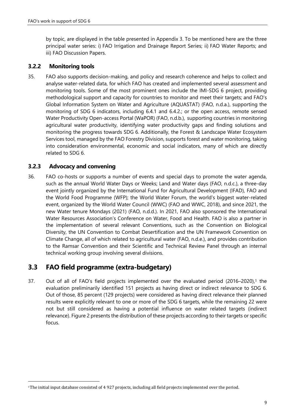by topic, are displayed in the table presented in Appendix 3. To be mentioned here are the three principal water series: i) FAO Irrigation and Drainage Report Series; ii) FAO Water Reports; and iii) FAO Discussion Papers.

#### **3.2.2 Monitoring tools**

35. FAO also supports decision-making, and policy and research coherence and helps to collect and analyse water-related data, for which FAO has created and implemented several assessment and monitoring tools. Some of the most prominent ones include the IMI-SDG 6 project, providing methodological support and capacity for countries to monitor and meet their targets; and FAO's Global Information System on Water and Agriculture (AQUASTAT) (FAO, n.d.a.), supporting the monitoring of SDG 6 indicators, including 6.4.1 and 6.4.2.; or the open access, remote sensed Water Productivity Open-access Portal (WaPOR) (FAO, n.d.b.), supporting countries in monitoring agricultural water productivity, identifying water productivity gaps and finding solutions and monitoring the progress towards SDG 6. Additionally, the Forest & Landscape Water Ecosystem Services tool, managed by the FAO Forestry Division, supports forest and water monitoring, taking into consideration environmental, economic and social indicators, many of which are directly related to SDG 6.

#### **3.2.3 Advocacy and convening**

36. FAO co-hosts or supports a number of events and special days to promote the water agenda, such as the annual World Water Days or Weeks; Land and Water days (FAO, n.d.c.), a three-day event jointly organized by the International Fund for Agricultural Development (IFAD), FAO and the World Food Programme (WFP); the World Water Forum, the world's biggest water-related event, organized by the World Water Council (WWC) (FAO and WWC, 2018), and since 2021, the new Water tenure Mondays (2021) (FAO, n.d.d.). In 2021, FAO also sponsored the International Water Resources Association's Conference on Water, Food and Health. FAO is also a partner in the implementation of several relevant Conventions, such as the Convention on Biological Diversity, the UN Convention to Combat Desertification and the UN Framework Convention on Climate Change, all of which related to agricultural water (FAO, n.d.e.), and provides contribution to the Ramsar Convention and their Scientific and Technical Review Panel through an internal technical working group involving several divisions.

# <span id="page-11-0"></span>**3.3 FAO field programme (extra-budgetary)**

37. Out of all of FAO's field projects implemented over the evaluated period (2016–2020), <sup>1</sup> the evaluation preliminarily identified 151 projects as having direct or indirect relevance to SDG 6. Out of those, 85 percent (129 projects) were considered as having direct relevance their planned results were explicitly relevant to one or more of the SDG 6 targets, while the remaining 22 were not but still considered as having a potential influence on water related targets (indirect relevance). Figure 2 presents the distribution of these projects according to their targets or specific focus.

<sup>1</sup>The initial input database consisted of 4 927 projects, including all field projects implemented over the period.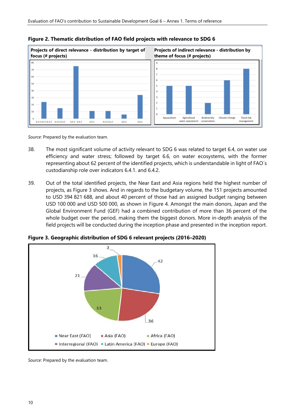

<span id="page-12-0"></span>**Figure 2. Thematic distribution of FAO field projects with relevance to SDG 6**

*Source*: Prepared by the evaluation team.

- 38. The most significant volume of activity relevant to SDG 6 was related to target 6.4, on water use efficiency and water stress; followed by target 6.6, on water ecosystems, with the former representing about 62 percent of the identified projects, which is understandable in light of FAO´s custodianship role over indicators 6.4.1. and 6.4.2.
- 39. Out of the total identified projects, the Near East and Asia regions held the highest number of projects, as Figure 3 shows. And in regards to the budgetary volume, the 151 projects amounted to USD 394 821 688, and about 40 percent of those had an assigned budget ranging between USD 100 000 and USD 500 000, as shown in Figure 4. Amongst the main donors, Japan and the Global Environment Fund (GEF) had a combined contribution of more than 36 percent of the whole budget over the period, making them the biggest donors. More in-depth analysis of the field projects will be conducted during the inception phase and presented in the inception report.



<span id="page-12-1"></span>**Figure 3. Geographic distribution of SDG 6 relevant projects (2016–2020)**

*Source*: Prepared by the evaluation team.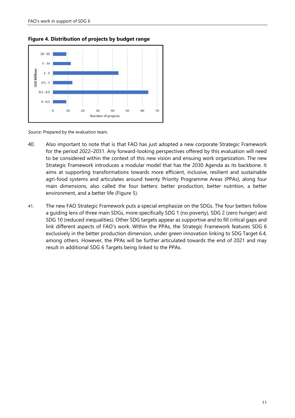<span id="page-13-0"></span>



*Source*: Prepared by the evaluation team.

- 40. Also important to note that is that FAO has just adopted a new corporate Strategic Framework for the period 2022–2031. Any forward-looking perspectives offered by this evaluation will need to be considered within the context of this new vision and ensuing work organization. The new Strategic Framework introduces a modular model that has the 2030 Agenda as its backbone. It aims at supporting transformations towards more efficient, inclusive, resilient and sustainable agri-food systems and articulates around twenty Priority Programme Areas (PPAs), along four main dimensions, also called the four betters: better production, better nutrition, a better environment, and a better life (Figure 5).
- 41. The new FAO Strategic Framework puts a special emphasize on the SDGs. The four betters follow a guiding lens of three main SDGs, more specifically SDG 1 (no poverty), SDG 2 (zero hunger) and SDG 10 (reduced inequalities). Other SDG targets appear as supportive and to fill critical gaps and link different aspects of FAO's work. Within the PPAs, the Strategic Framework features SDG 6 exclusively in the better production dimension, under green innovation linking to SDG Target 6.4, among others. However, the PPAs will be further articulated towards the end of 2021 and may result in additional SDG 6 Targets being linked to the PPAs.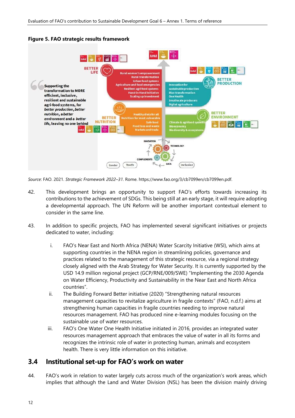

#### <span id="page-14-1"></span>**Figure 5. FAO strategic results framework**

*Source*: FAO. 2021. *Strategic Framework 2022–31*. Rome. https://www.fao.org/3/cb7099en/cb7099en.pdf.

- 42. This development brings an opportunity to support FAO's efforts towards increasing its contributions to the achievement of SDGs. This being still at an early stage, it will require adopting a developmental approach. The UN Reform will be another important contextual element to consider in the same line.
- 43. In addition to specific projects, FAO has implemented several significant initiatives or projects dedicated to water, including:
	- i. FAO's Near East and North Africa (NENA) Water Scarcity Initiative (WSI), which aims at supporting countries in the NENA region in streamlining policies, governance and practices related to the management of this strategic resource, via a regional strategy closely aligned with the Arab Strategy for Water Security. It is currently supported by the USD 14.9 million regional project (GCP/RNE/009/SWE) "Implementing the 2030 Agenda on Water Efficiency, Productivity and Sustainability in the Near East and North Africa countries".
	- ii. The Building Forward Better initiative (2020) "Strengthening natural resources management capacities to revitalize agriculture in fragile contexts" (FAO, n.d.f.) aims at strengthening human capacities in fragile countries needing to improve natural resources management. FAO has produced nine e-learning modules focusing on the sustainable use of water resources.
	- iii. FAO's One Water One Health Initiative initiated in 2016, provides an integrated water resources management approach that embraces the value of water in all its forms and recognizes the intrinsic role of water in protecting human, animals and ecosystem health. There is very little information on this initiative.

### <span id="page-14-0"></span>**3.4 Institutional set-up for FAO's work on water**

44. FAO's work in relation to water largely cuts across much of the organization's work areas, which implies that although the Land and Water Division (NSL) has been the division mainly driving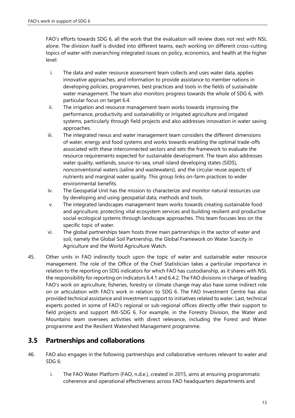FAO's efforts towards SDG 6, all the work that the evaluation will review does not rest with NSL alone. The division itself is divided into different teams, each working on different cross-cutting topics of water with overarching integrated issues on policy, economics, and health at the higher level:

- i. The data and water resource assessment team collects and uses water data, applies innovative approaches, and information to provide assistance to member nations in developing policies, programmes, best practices and tools in the fields of sustainable water management. The team also monitors progress towards the whole of SDG 6, with particular focus on target 6.4.
- ii. The irrigation and resource management team works towards improving the performance, productivity and sustainability or irrigated agriculture and irrigated systems, particularly through field projects and also addresses innovation in water saving approaches.
- iii. The integrated nexus and water management team considers the different dimensions of water, energy and food systems and works towards enabling the optimal trade-offs associated with these interconnected sectors and sets the framework to evaluate the resource requirements expected for sustainable development. The team also addresses water quality, wetlands, source-to-sea, small island developing states (SIDS), nonconventional waters (saline and wastewaters), and the circular reuse aspects of nutrients and marginal water quality. This group links on-farm practices to wider environmental benefits.
- iv. The Geospatial Unit has the mission to characterize and monitor natural resources use by developing and using geospatial data, methods and tools.
- v. The integrated landscapes management team works towards creating sustainable food and agriculture, protecting vital ecosystem services and building resilient and productive social-ecological systems through landscape approaches. This team focuses less on the specific topic of water.
- vi. The global partnerships team hosts three main partnerships in the sector of water and soil, namely the Global Soil Partnership, the Global Framework on Water Scarcity in Agriculture and the World Agriculture Watch.
- 45. Other units in FAO indirectly touch upon the topic of water and sustainable water resource management. The role of the Office of the Chief Statistician takes a particular importance in relation to the reporting on SDG indicators for which FAO has custodianship, as it shares with NSL the responsibility for reporting on indicators 6.4.1 and 6.4.2. The FAO divisions in charge of leading FAO's work on agriculture, fisheries, forestry or climate change may also have some indirect role on or articulation with FAO's work in relation to SDG 6. The FAO Investment Centre has also provided technical assistance and investment support to initiatives related to water. Last, technical experts posted in some of FAO's regional or sub-regional offices directly offer their support to field projects and support IMI-SDG 6. For example, in the Forestry Division, the Water and Mountains team oversees activities with direct relevance, including the Forest and Water programme and the Resilient Watershed Management programme.

# <span id="page-15-0"></span>**3.5 Partnerships and collaborations**

- 46. FAO also engages in the following partnerships and collaborative ventures relevant to water and SDG 6:
	- i. The FAO Water Platform (FAO, n.d.e.), created in 2015, aims at ensuring programmatic coherence and operational effectiveness across FAO headquarters departments and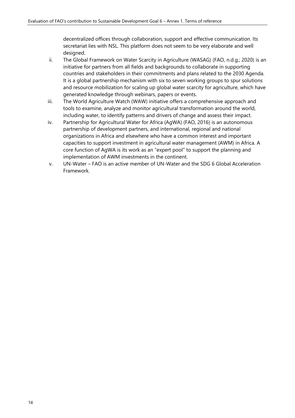decentralized offices through collaboration, support and effective communication. Its secretariat lies with NSL. This platform does not seem to be very elaborate and well designed.

- ii. The Global Framework on Water Scarcity in Agriculture (WASAG) (FAO, n.d.g.; 2020) is an initiative for partners from all fields and backgrounds to collaborate in supporting countries and stakeholders in their commitments and plans related to the 2030 Agenda. It is a global partnership mechanism with six to seven working groups to spur solutions and resource mobilization for scaling up global water scarcity for agriculture, which have generated knowledge through webinars, papers or events.
- iii. The World Agriculture Watch (WAW) initiative offers a comprehensive approach and tools to examine, analyze and monitor agricultural transformation around the world, including water, to identify patterns and drivers of change and assess their impact.
- iv. Partnership for Agricultural Water for Africa (AgWA) (FAO, 2016) is an autonomous partnership of development partners, and international, regional and national organizations in Africa and elsewhere who have a common interest and important capacities to support investment in agricultural water management (AWM) in Africa. A core function of AgWA is its work as an "expert pool" to support the planning and implementation of AWM investments in the continent.
- v. UN-Water FAO is an active member of UN-Water and the SDG 6 Global Acceleration Framework.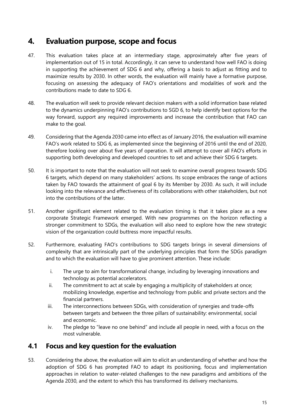# <span id="page-17-0"></span>**4. Evaluation purpose, scope and focus**

- 47. This evaluation takes place at an intermediary stage, approximately after five years of implementation out of 15 in total. Accordingly, it can serve to understand how well FAO is doing in supporting the achievement of SDG 6 and why, offering a basis to adjust as fitting and to maximize results by 2030. In other words, the evaluation will mainly have a formative purpose, focusing on assessing the adequacy of FAO's orientations and modalities of work and the contributions made to date to SDG 6.
- 48. The evaluation will seek to provide relevant decision makers with a solid information base related to the dynamics underpinning FAO's contributions to SGD 6, to help identify best options for the way forward, support any required improvements and increase the contribution that FAO can make to the goal.
- 49. Considering that the Agenda 2030 came into effect as of January 2016, the evaluation will examine FAO's work related to SDG 6, as implemented since the beginning of 2016 until the end of 2020, therefore looking over about five years of operation. It will attempt to cover all FAO's efforts in supporting both developing and developed countries to set and achieve their SDG 6 targets.
- 50. It is important to note that the evaluation will not seek to examine overall progress towards SDG 6 targets, which depend on many stakeholders' actions. Its scope embraces the range of actions taken by FAO towards the attainment of goal 6 by its Member by 2030. As such, it will include looking into the relevance and effectiveness of its collaborations with other stakeholders, but not into the contributions of the latter.
- 51. Another significant element related to the evaluation timing is that it takes place as a new corporate Strategic Framework emerged. With new programmes on the horizon reflecting a stronger commitment to SDGs, the evaluation will also need to explore how the new strategic vision of the organization could buttress more impactful results.
- 52. Furthermore, evaluating FAO's contributions to SDG targets brings in several dimensions of complexity that are intrinsically part of the underlying principles that form the SDGs paradigm and to which the evaluation will have to give prominent attention. These include:
	- i. The urge to aim for transformational change, including by leveraging innovations and technology as potential accelerators.
	- ii. The commitment to act at scale by engaging a multiplicity of stakeholders at once; mobilizing knowledge, expertise and technology from public and private sectors and the financial partners.
	- iii. The interconnections between SDGs, with consideration of synergies and trade-offs between targets and between the three pillars of sustainability: environmental, social and economic.
	- iv. The pledge to "leave no one behind" and include all people in need, with a focus on the most vulnerable.

### <span id="page-17-1"></span>**4.1 Focus and key question for the evaluation**

53. Considering the above, the evaluation will aim to elicit an understanding of whether and how the adoption of SDG 6 has prompted FAO to adapt its positioning, focus and implementation approaches in relation to water-related challenges to the new paradigms and ambitions of the Agenda 2030, and the extent to which this has transformed its delivery mechanisms.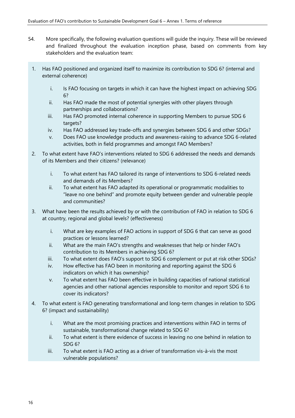- 54. More specifically, the following evaluation questions will guide the inquiry. These will be reviewed and finalized throughout the evaluation inception phase, based on comments from key stakeholders and the evaluation team:
	- 1. Has FAO positioned and organized itself to maximize its contribution to SDG 6? (internal and external coherence)
		- i. Is FAO focusing on targets in which it can have the highest impact on achieving SDG 6?
		- ii. Has FAO made the most of potential synergies with other players through partnerships and collaborations?
		- iii. Has FAO promoted internal coherence in supporting Members to pursue SDG 6 targets?
		- iv. Has FAO addressed key trade-offs and synergies between SDG 6 and other SDGs?
		- v. Does FAO use knowledge products and awareness-raising to advance SDG 6-related activities, both in field programmes and amongst FAO Members?
	- 2. To what extent have FAO's interventions related to SDG 6 addressed the needs and demands of its Members and their citizens? (relevance)
		- i. To what extent has FAO tailored its range of interventions to SDG 6-related needs and demands of its Members?
		- ii. To what extent has FAO adapted its operational or programmatic modalities to "leave no one behind" and promote equity between gender and vulnerable people and communities?
	- 3. What have been the results achieved by or with the contribution of FAO in relation to SDG 6 at country, regional and global levels? (effectiveness)
		- i. What are key examples of FAO actions in support of SDG 6 that can serve as good practices or lessons learned?
		- ii. What are the main FAO's strengths and weaknesses that help or hinder FAO's contribution to its Members in achieving SDG 6?
		- iii. To what extent does FAO's support to SDG 6 complement or put at risk other SDGs?
		- iv. How effective has FAO been in monitoring and reporting against the SDG 6 indicators on which it has ownership?
		- v. To what extent has FAO been effective in building capacities of national statistical agencies and other national agencies responsible to monitor and report SDG 6 to cover its indicators?
	- 4. To what extent is FAO generating transformational and long-term changes in relation to SDG 6? (impact and sustainability)
		- i. What are the most promising practices and interventions within FAO in terms of sustainable, transformational change related to SDG 6?
		- ii. To what extent is there evidence of success in leaving no one behind in relation to SDG 6?
		- iii. To what extent is FAO acting as a driver of transformation vis-à-vis the most vulnerable populations?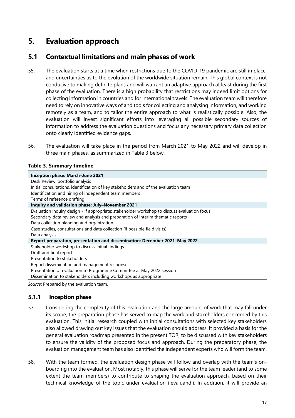# <span id="page-19-0"></span>**5. Evaluation approach**

# <span id="page-19-1"></span>**5.1 Contextual limitations and main phases of work**

- 55. The evaluation starts at a time when restrictions due to the COVID-19 pandemic are still in place, and uncertainties as to the evolution of the worldwide situation remain. This global context is not conducive to making definite plans and will warrant an adaptive approach at least during the first phase of the evaluation. There is a high probability that restrictions may indeed limit options for collecting information in countries and for international travels. The evaluation team will therefore need to rely on innovative ways of and tools for collecting and analysing information, and working remotely as a team, and to tailor the entire approach to what is realistically possible. Also, the evaluation will invest significant efforts into leveraging all possible secondary sources of information to address the evaluation questions and focus any necessary primary data collection onto clearly identified evidence gaps.
- 56. The evaluation will take place in the period from March 2021 to May 2022 and will develop in three main phases, as summarized in Table 3 below.

#### <span id="page-19-2"></span>**Table 3. Summary timeline**

| Inception phase: March-June 2021                                                             |  |  |
|----------------------------------------------------------------------------------------------|--|--|
| Desk Review, portfolio analysis                                                              |  |  |
| Initial consultations, identification of key stakeholders and of the evaluation team         |  |  |
| Identification and hiring of independent team members                                        |  |  |
| Terms of reference drafting                                                                  |  |  |
| Inquiry and validation phase: July-November 2021                                             |  |  |
| Evaluation inquiry design - if appropriate: stakeholder workshop to discuss evaluation focus |  |  |
| Secondary data review and analysis and preparation of interim thematic reports               |  |  |
| Data collection planning and organization                                                    |  |  |
| Case studies, consultations and data collection (if possible field visits)                   |  |  |
| Data analysis                                                                                |  |  |
| Report preparation, presentation and dissemination: December 2021-May 2022                   |  |  |
| Stakeholder workshop to discuss initial findings                                             |  |  |
| Draft and final report                                                                       |  |  |
| Presentation to stakeholders                                                                 |  |  |
| Report dissemination and management response                                                 |  |  |
| Presentation of evaluation to Programme Committee at May 2022 session                        |  |  |
| Dissemination to stakeholders including workshops as appropriate                             |  |  |

*Source*: Prepared by the evaluation team.

#### **5.1.1 Inception phase**

- 57. Considering the complexity of this evaluation and the large amount of work that may fall under its scope, the preparation phase has served to map the work and stakeholders concerned by this evaluation. This initial research coupled with initial consultations with selected key stakeholders also allowed drawing out key issues that the evaluation should address. It provided a basis for the general evaluation roadmap presented in the present TOR, to be discussed with key stakeholders to ensure the validity of the proposed focus and approach. During the preparatory phase, the evaluation management team has also identified the independent experts who will form the team.
- 58. With the team formed, the evaluation design phase will follow and overlap with the team's onboarding into the evaluation. Most notably, this phase will serve for the team leader (and to some extent the team members) to contribute to shaping the evaluation approach, based on their technical knowledge of the topic under evaluation ('evaluand'). In addition, it will provide an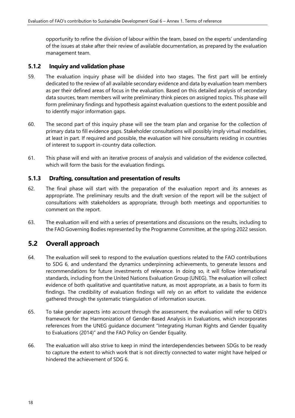opportunity to refine the division of labour within the team, based on the experts' understanding of the issues at stake after their review of available documentation, as prepared by the evaluation management team.

#### **5.1.2 Inquiry and validation phase**

- 59. The evaluation inquiry phase will be divided into two stages. The first part will be entirely dedicated to the review of all available secondary evidence and data by evaluation team members as per their defined areas of focus in the evaluation. Based on this detailed analysis of secondary data sources, team members will write preliminary think pieces on assigned topics. This phase will form preliminary findings and hypothesis against evaluation questions to the extent possible and to identify major information gaps.
- 60. The second part of this inquiry phase will see the team plan and organise for the collection of primary data to fill evidence gaps. Stakeholder consultations will possibly imply virtual modalities, at least in part. If required and possible, the evaluation will hire consultants residing in countries of interest to support in-country data collection.
- 61. This phase will end with an iterative process of analysis and validation of the evidence collected, which will form the basis for the evaluation findings.

#### **5.1.3 Drafting, consultation and presentation of results**

- 62. The final phase will start with the preparation of the evaluation report and its annexes as appropriate. The preliminary results and the draft version of the report will be the subject of consultations with stakeholders as appropriate, through both meetings and opportunities to comment on the report.
- 63. The evaluation will end with a series of presentations and discussions on the results, including to the FAO Governing Bodies represented by the Programme Committee, at the spring 2022 session.

### <span id="page-20-0"></span>**5.2 Overall approach**

- 64. The evaluation will seek to respond to the evaluation questions related to the FAO contributions to SDG 6, and understand the dynamics underpinning achievements, to generate lessons and recommendations for future investments of relevance. In doing so, it will follow international standards, including from the United Nations Evaluation Group (UNEG). The evaluation will collect evidence of both qualitative and quantitative nature, as most appropriate, as a basis to form its findings. The credibility of evaluation findings will rely on an effort to validate the evidence gathered through the systematic triangulation of information sources.
- 65. To take gender aspects into account through the assessment, the evaluation will refer to OED's framework for the Harmonization of Gender-Based Analysis in Evaluations, which incorporates references from the UNEG guidance document "Integrating Human Rights and Gender Equality to Evaluations (2014)" and the FAO Policy on Gender Equality.
- 66. The evaluation will also strive to keep in mind the interdependencies between SDGs to be ready to capture the extent to which work that is not directly connected to water might have helped or hindered the achievement of SDG 6.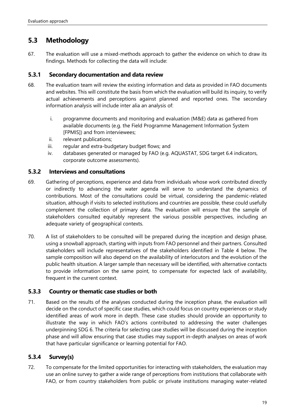# <span id="page-21-0"></span>**5.3 Methodology**

67. The evaluation will use a mixed-methods approach to gather the evidence on which to draw its findings. Methods for collecting the data will include:

#### **5.3.1 Secondary documentation and data review**

- 68. The evaluation team will review the existing information and data as provided in FAO documents and websites. This will constitute the basis from which the evaluation will build its inquiry, to verify actual achievements and perceptions against planned and reported ones. The secondary information analysis will include inter alia an analysis of:
	- i. programme documents and monitoring and evaluation (M&E) data as gathered from available documents (e.g. the Field Programme Management Information System [FPMIS]) and from interviewees;
	- ii. relevant publications;
	- iii. regular and extra-budgetary budget flows; and
	- iv. databases generated or managed by FAO (e.g. AQUASTAT, SDG target 6.4 indicators, corporate outcome assessments).

#### **5.3.2 Interviews and consultations**

- 69. Gathering of perceptions, experience and data from individuals whose work contributed directly or indirectly to advancing the water agenda will serve to understand the dynamics of contributions. Most of the consultations could be virtual, considering the pandemic-related situation, although if visits to selected institutions and countries are possible, these could usefully complement the collection of primary data. The evaluation will ensure that the sample of stakeholders consulted equitably represent the various possible perspectives, including an adequate variety of geographical contexts.
- 70. A list of stakeholders to be consulted will be prepared during the inception and design phase, using a snowball approach, starting with inputs from FAO personnel and their partners. Consulted stakeholders will include representatives of the stakeholders identified in Table 4 below. The sample composition will also depend on the availability of interlocutors and the evolution of the public health situation. A larger sample than necessary will be identified, with alternative contacts to provide information on the same point, to compensate for expected lack of availability, frequent in the current context.

#### **5.3.3 Country or thematic case studies or both**

71. Based on the results of the analyses conducted during the inception phase, the evaluation will decide on the conduct of specific case studies, which could focus on country experiences or study identified areas of work more in depth. These case studies should provide an opportunity to illustrate the way in which FAO's actions contributed to addressing the water challenges underpinning SDG 6. The criteria for selecting case studies will be discussed during the inception phase and will allow ensuring that case studies may support in-depth analyses on areas of work that have particular significance or learning potential for FAO.

#### **5.3.4 Survey(s)**

72. To compensate for the limited opportunities for interacting with stakeholders, the evaluation may use an online survey to gather a wide range of perceptions from institutions that collaborate with FAO, or from country stakeholders from public or private institutions managing water-related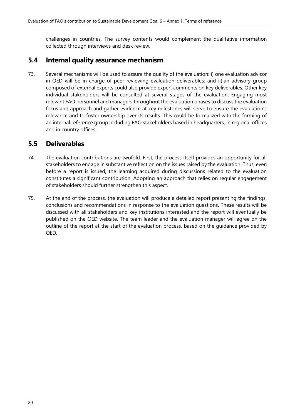challenges in countries. The survey contents would complement the qualitative information collected through interviews and desk review.

### <span id="page-22-0"></span>**5.4 Internal quality assurance mechanism**

73. Several mechanisms will be used to assure the quality of the evaluation: i) one evaluation advisor in OED will be in charge of peer reviewing evaluation deliverables; and ii) an advisory group composed of external experts could also provide expert comments on key deliverables. Other key individual stakeholders will be consulted at several stages of the evaluation. Engaging most relevant FAO personnel and managers throughout the evaluation phases to discuss the evaluation focus and approach and gather evidence at key milestones will serve to ensure the evaluation's relevance and to foster ownership over its results. This could be formalized with the forming of an internal reference group including FAO stakeholders based in headquarters, in regional offices and in country offices.

### <span id="page-22-1"></span>**5.5 Deliverables**

- 74. The evaluation contributions are twofold. First, the process itself provides an opportunity for all stakeholders to engage in substantive reflection on the issues raised by the evaluation. Thus, even before a report is issued, the learning acquired during discussions related to the evaluation constitutes a significant contribution. Adopting an approach that relies on regular engagement of stakeholders should further strengthen this aspect.
- 75. At the end of the process, the evaluation will produce a detailed report presenting the findings, conclusions and recommendations in response to the evaluation questions. These results will be discussed with all stakeholders and key institutions interested and the report will eventually be published on the OED website. The team leader and the evaluation manager will agree on the outline of the report at the start of the evaluation process, based on the guidance provided by OED.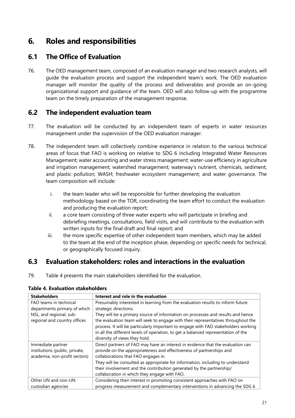# <span id="page-23-0"></span>**6. Roles and responsibilities**

# <span id="page-23-1"></span>**6.1 The Office of Evaluation**

76. The OED management team, composed of an evaluation manager and two research analysts, will guide the evaluation process and support the independent team's work. The OED evaluation manager will monitor the quality of the process and deliverables and provide an on-going organizational support and guidance of the team. OED will also follow-up with the programme team on the timely preparation of the management response.

### <span id="page-23-2"></span>**6.2 The independent evaluation team**

- 77. The evaluation will be conducted by an independent team of experts in water resources management under the supervision of the OED evaluation manager.
- 78. The independent team will collectively combine experience in relation to the various technical areas of focus that FAO is working on relative to SDG 6 including Integrated Water Resources Management; water accounting and water stress management; water-use efficiency in agriculture and irrigation management; watershed management; waterway's nutrient, chemicals, sediment, and plastic pollution; WASH; freshwater ecosystem management; and water governance. The team composition will include:
	- i. the team leader who will be responsible for further developing the evaluation methodology based on the TOR, coordinating the team effort to conduct the evaluation and producing the evaluation report;
	- ii. a core team consisting of three water experts who will participate in briefing and debriefing meetings, consultations, field visits, and will contribute to the evaluation with written inputs for the final draft and final report; and
	- iii. the more specific expertise of other independent team members, which may be added to the team at the end of the inception phase, depending on specific needs for technical, or geographically focused inquiry.

### <span id="page-23-3"></span>**6.3 Evaluation stakeholders: roles and interactions in the evaluation**

79. Table 4 presents the main stakeholders identified for the evaluation.

| <b>Stakeholders</b>            | Interest and role in the evaluation                                                |
|--------------------------------|------------------------------------------------------------------------------------|
| FAO teams in technical         | Presumably interested in learning from the evaluation results to inform future     |
| departments primary of which   | strategic directions.                                                              |
| NSL, and regional, sub-        | They will be a primary source of information on processes and results and hence    |
| regional and country offices   | the evaluation team will seek to engage with their representatives throughout the  |
|                                | process. It will be particularly important to engage with FAO stakeholders working |
|                                | in all the different levels of operation, to get a balanced representation of the  |
|                                | diversity of views they hold.                                                      |
| Immediate partner              | Direct partners of FAO may have an interest in evidence that the evaluation can    |
| institutions (public, private, | provide on the appropriateness and effectiveness of partnerships and               |
| academia, non-profit sectors)  | collaborations that FAO engages in.                                                |
|                                | They will be consulted as appropriate for information, including to understand     |
|                                | their involvement and the contribution generated by the partnership/               |
|                                | collaboration in which they engage with FAO.                                       |
| Other UN and non-UN            | Considering their interest in promoting consistent approaches with FAO on          |
| custodian agencies             | progress measurement and complementary interventions in advancing the SDG 6        |

#### <span id="page-23-4"></span>**Table 4. Evaluation stakeholders**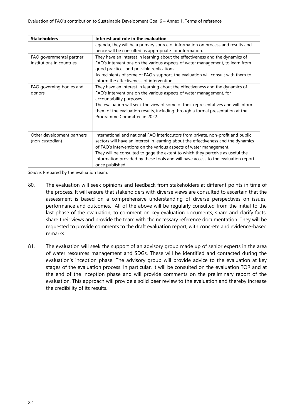| <b>Stakeholders</b>                                   | Interest and role in the evaluation                                                                                                                                                                                                                                                                                                                                                                                                    |
|-------------------------------------------------------|----------------------------------------------------------------------------------------------------------------------------------------------------------------------------------------------------------------------------------------------------------------------------------------------------------------------------------------------------------------------------------------------------------------------------------------|
|                                                       | agenda, they will be a primary source of information on process and results and<br>hence will be consulted as appropriate for information.                                                                                                                                                                                                                                                                                             |
| FAO governmental partner<br>institutions in countries | They have an interest in learning about the effectiveness and the dynamics of<br>FAO's interventions on the various aspects of water management, to learn from<br>good practices and possible replications.<br>As recipients of some of FAO's support, the evaluation will consult with them to<br>inform the effectiveness of interventions.                                                                                          |
| FAO governing bodies and<br>donors                    | They have an interest in learning about the effectiveness and the dynamics of<br>FAO's interventions on the various aspects of water management, for<br>accountability purposes.<br>The evaluation will seek the view of some of their representatives and will inform<br>them of the evaluation results, including through a formal presentation at the<br>Programme Committee in 2022.                                               |
| Other development partners<br>(non-custodian)         | International and national FAO interlocutors from private, non-profit and public<br>sectors will have an interest in learning about the effectiveness and the dynamics<br>of FAO's interventions on the various aspects of water management.<br>They will be consulted to gage the extent to which they perceive as useful the<br>information provided by these tools and will have access to the evaluation report<br>once published. |

*Source*: Prepared by the evaluation team.

- 80. The evaluation will seek opinions and feedback from stakeholders at different points in time of the process. It will ensure that stakeholders with diverse views are consulted to ascertain that the assessment is based on a comprehensive understanding of diverse perspectives on issues, performance and outcomes. All of the above will be regularly consulted from the initial to the last phase of the evaluation, to comment on key evaluation documents, share and clarify facts, share their views and provide the team with the necessary reference documentation. They will be requested to provide comments to the draft evaluation report, with concrete and evidence-based remarks.
- 81. The evaluation will seek the support of an advisory group made up of senior experts in the area of water resources management and SDGs. These will be identified and contacted during the evaluation's inception phase. The advisory group will provide advice to the evaluation at key stages of the evaluation process. In particular, it will be consulted on the evaluation TOR and at the end of the inception phase and will provide comments on the preliminary report of the evaluation. This approach will provide a solid peer review to the evaluation and thereby increase the credibility of its results.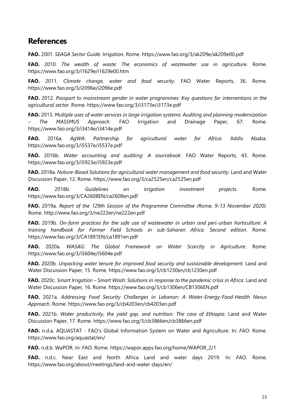# <span id="page-25-0"></span>**References**

**FAO.** 2001. *SEAGA Sector Guide: Irrigation*. Rome. https://www.fao.org/3/ak209e/ak209e00.pdf

**FAO.** 2010. *The wealth of waste: The economics of wastewater use in agriculture*. Rome. https://www.fao.org/3/i1629e/i1629e00.htm

**FAO.** 2011. *Climate change, water and food security*. FAO Water Reports, 36. Rome. https://www.fao.org/3/i2096e/i2096e.pdf

**FAO.** 2012. *Passport to mainstream gender in water programmes: Key questions for interventions in the agricultural sector*. Rome. https://www.fao.org/3/i3173e/i3173e.pdf

**FAO.** 2013. *Multiple uses of water services in large irrigation systems: Auditing and planning modernization – The MASSMUS Approach*. FAO Irrigation and Drainage Paper, 67. Rome. https://www.fao.org/3/i3414e/i3414e.pdf

**FAO.** 2016a. *AgWA: Partnership for agricultural water for Africa*. Addis Ababa. https://www.fao.org/3/i5537e/i5537e.pdf

**FAO.** 2016b. *Water accounting and auditing: A sourcebook*. FAO Water Reports, 43. Rome. https://www.fao.org/3/i5923e/i5923e.pdf

**FAO.** 2018a. *Nature-Based Solutions for agricultural water management and food security*. Land and Water Discussion Paper, 12. Rome. https://www.fao.org/3/ca2525en/ca2525en.pdf

**FAO.** 2018b. *Guidelines on irrigation investment projects*. Rome. https://www.fao.org/3/CA2608EN/ca2608en.pdf

**FAO.** 2019a. *Report of the 129th Session of the Programme Committee (Rome, 9-13 November 2020)*. Rome. http://www.fao.org/3/ne222en/ne222en.pdf

**FAO.** 2019b. *On-farm practices for the safe use of wastewater in urban and peri-urban horticulture: A training handbook for Farmer Field Schools in sub-Saharan Africa. Second edition*. Rome. https://www.fao.org/3/CA1891EN/ca1891en.pdf

**FAO.** 2020a. *WASAG: The Global Framework on Water Scarcity in Agriculture*. Rome. https://www.fao.org/3/i5604e/i5604e.pdf

**FAO.** 2020b. *Unpacking water tenure for improved food security and sustainable development*. Land and Water Discussion Paper, 15. Rome. https://www.fao.org/3/cb1230en/cb1230en.pdf

**FAO.** 2020c. *Smart Irrigation – Smart Wash: Solutions in response to the pandemic crisis in Africa*. Land and Water Discussion Paper, 16. Rome. https://www.fao.org/3/cb1306en/CB1306EN.pdf

**FAO.** 2021a. *Addressing Food Security Challenges in Lebanon: A Water-Energy-Food-Health Nexus Approach*. Rome. https://www.fao.org/3/cb4203en/cb4203en.pdf

**FAO.** 2021b. *Water productivity, the yield gap, and nutrition: The case of Ethiopia*. Land and Water Discussion Paper, 17. Rome. https://www.fao.org/3/cb3866en/cb3866en.pdf

**FAO.** n.d.a. AQUASTAT - FAO's Global Information System on Water and Agriculture. In: *FAO*. Rome. https://www.fao.org/aquastat/en/

**FAO.** n.d.b. WaPOR. In: *FAO*. Rome. https://wapor.apps.fao.org/home/WAPOR\_2/1

**FAO.** n.d.c. Near East and North Africa Land and water days 2019. In: *FAO*. Rome. https://www.fao.org/about/meetings/land-and-water-days/en/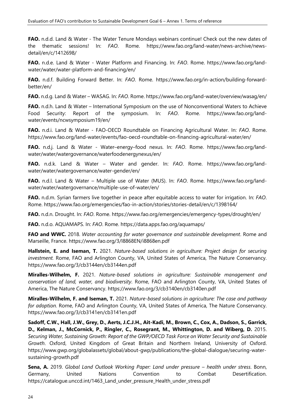**FAO.** n.d.d. Land & Water - The Water Tenure Mondays webinars continue! Check out the new dates of the thematic sessions! In: *FAO*. Rome. https://www.fao.org/land-water/news-archive/newsdetail/en/c/1412698/

**FAO.** n.d.e. Land & Water - Water Platform and Financing. In: *FAO*. Rome. https://www.fao.org/landwater/water/water-platform-and-financing/en/

**FAO.** n.d.f. Building Forward Better. In: *FAO*. Rome. https://www.fao.org/in-action/building-forwardbetter/en/

**FAO.** n.d.g. Land & Water – WASAG. In: *FAO*. Rome. https://www.fao.org/land-water/overview/wasag/en/

**FAO.** n.d.h. Land & Water – International Symposium on the use of Nonconventional Waters to Achieve Food Security: Report of the symposium. In: *FAO*. Rome. https://www.fao.org/landwater/events/ncwsymposium19/en/

**FAO.** n.d.i. Land & Water - FAO-OECD Roundtable on Financing Agricultural Water. In: *FAO*. Rome. https://www.fao.org/land-water/events/fao-oecd-roundtable-on-financing-agricultural-water/en/

**FAO.** n.d.j. Land & Water - Water–energy–food nexus. In: *FAO*. Rome. https://www.fao.org/landwater/water/watergovernance/waterfoodenergynexus/en/

**FAO.** n.d.k. Land & Water – Water and gender. In: *FAO*. Rome. https://www.fao.org/landwater/water/watergovernance/water-gender/en/

**FAO.** n.d.l. Land & Water – Multiple use of Water (MUS). In: *FAO*. Rome. https://www.fao.org/landwater/water/watergovernance/multiple-use-of-water/en/

**FAO.** n.d.m. Syrian farmers live together in peace after equitable access to water for irrigation. In: *FAO*. Rome. https://www.fao.org/emergencies/fao-in-action/stories/stories-detail/en/c/1398164/

**FAO.** n.d.n. Drought. In: *FAO*. Rome. https://www.fao.org/emergencies/emergency-types/drought/en/

**FAO.** n.d.o. AQUAMAPS. In: *FAO*. Rome. https://data.apps.fao.org/aquamaps/

**FAO and WWC.** 2018. *Water accounting for water governance and sustainable development*. Rome and Marseille, France. https://www.fao.org/3/I8868EN/i8868en.pdf

**Hallstein, E. and Iseman, T.** 2021. *Nature-based solutions in agriculture: Project design for securing investment.* Rome, FAO and Arlington County, VA, United States of America, The Nature Conservancy. https://www.fao.org/3/cb3144en/cb3144en.pdf

**Miralles-Wilhelm, F.** 2021. *Nature-based solutions in agriculture: Sustainable management and conservation of land, water, and biodiversity*. Rome, FAO and Arlington County, VA, United States of America, The Nature Conservancy. https://www.fao.org/3/cb3140en/cb3140en.pdf

**Miralles-Wilhelm, F. and Iseman, T.** 2021. *Nature-based solutions in agriculture: The case and pathway for adoption.* Rome, FAO and Arlington County, VA, United States of America, The Nature Conservancy. https://www.fao.org/3/cb3141en/cb3141en.pdf

**Sadoff, C.W., Hall, J.W., Grey, D., Aerts, J.C.J.H., Ait-Kadi, M., Brown, C., Cox, A., Dadson, S., Garrick, D., Kelman, J., McCornick, P., Ringler, C., Rosegrant, M., Whittington, D. and Wiberg, D.** 2015. *Securing Water, Sustaining Growth: Report of the GWP/OECD Task Force on Water Security and Sustainable Growth*. Oxford, United Kingdom of Great Britain and Northern Ireland, University of Oxford. https://www.gwp.org/globalassets/global/about-gwp/publications/the-global-dialogue/securing-watersustaining-growth.pdf

**Sena, A.** 2019. *Global Land Outlook Working Paper: Land under pressure – health under stress*. Bonn, Germany, United Nations Convention to Combat Desertification. https://catalogue.unccd.int/1463\_Land\_under\_pressure\_Health\_under\_stress.pdf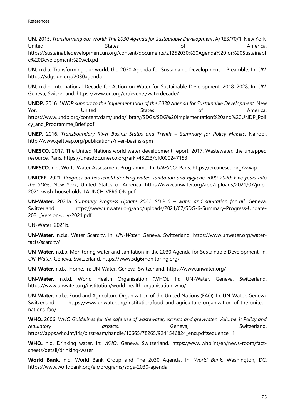**UN.** 2015. *Transforming our World: The 2030 Agenda for Sustainable Development*. A/RES/70/1. New York, United States of America.

https://sustainabledevelopment.un.org/content/documents/21252030%20Agenda%20for%20Sustainabl e%20Development%20web.pdf

**UN.** n.d.a. Transforming our world: the 2030 Agenda for Sustainable Development – Preamble. In: *UN*. https://sdgs.un.org/2030agenda

**UN.** n.d.b. International Decade for Action on Water for Sustainable Development, 2018–2028. In: *UN*. Geneva, Switzerland. https://www.un.org/en/events/waterdecade/

**UNDP.** 2016*. UNDP support to the implementation of the 2030 Agenda for Sustainable Development*. New Yor, United States of America. https://www.undp.org/content/dam/undp/library/SDGs/SDG%20Implementation%20and%20UNDP\_Poli cy\_and\_Programme\_Brief.pdf

**UNEP.** 2016. *Transboundary River Basins: Status and Trends – Summary for Policy Makers*. Nairobi. http://www.geftwap.org/publications/river-basins-spm

**UNESCO.** 2017. The United Nations world water development report, 2017: Wastewater: the untapped resource. Paris. https://unesdoc.unesco.org/ark:/48223/pf0000247153

**UNESCO.** n.d. World Water Assessment Programme. In: *UNESCO*. Paris. https://en.unesco.org/wwap

**UNICEF.** 2021. *Progress on household drinking water, sanitation and hygiene 2000-2020: Five years into the SDGs*. New York, United States of America. https://www.unwater.org/app/uploads/2021/07/jmp-2021-wash-households-LAUNCH-VERSION.pdf

**UN-Water.** 2021a. *Summary Progress Update 2021: SDG 6 – water and sanitation for all*. Geneva, Switzerland. https://www.unwater.org/app/uploads/2021/07/SDG-6-Summary-Progress-Update-2021\_Version-July-2021.pdf

UN-Water. 2021b.

**UN-Water.** n.d.a. Water Scarcity. In: *UN-Water*. Geneva, Switzerland. https://www.unwater.org/waterfacts/scarcity/

**UN-Water.** n.d.b. Monitoring water and sanitation in the 2030 Agenda for Sustainable Development. In: *UN-Water*. Geneva, Switzerland. https://www.sdg6monitoring.org/

**UN-Water.** n.d.c. Home. In: UN-Water. Geneva, Switzerland. https://www.unwater.org/

**UN-Water.** n.d.d. World Health Organisation (WHO). In: UN-Water. Geneva, Switzerland. https://www.unwater.org/institution/world-health-organisation-who/

**UN-Water.** n.d.e. Food and Agriculture Organization of the United Nations (FAO). In: UN-Water. Geneva, Switzerland. https://www.unwater.org/institution/food-and-agriculture-organization-of-the-unitednations-fao/

**WHO.** 2006. *WHO Guidelines for the safe use of wastewater, excreta and greywater. Volume 1: Policy and regulatory* aspects. Geneva, Switzerland. https://apps.who.int/iris/bitstream/handle/10665/78265/9241546824\_eng.pdf;sequence=1

**WHO.** n.d. Drinking water. In: *WHO*. Geneva, Switzerland. https://www.who.int/en/news-room/factsheets/detail/drinking-water

**World Bank.** n.d. World Bank Group and The 2030 Agenda. In: *World Bank*. Washington, DC. https://www.worldbank.org/en/programs/sdgs-2030-agenda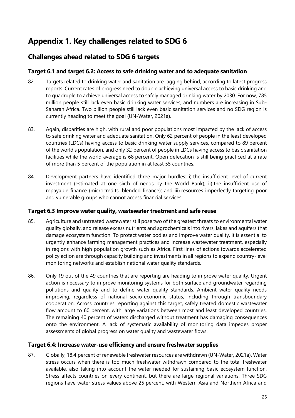# <span id="page-28-0"></span>**Appendix 1. Key challenges related to SDG 6**

# **Challenges ahead related to SDG 6 targets**

#### **Target 6.1 and target 6.2: Access to safe drinking water and to adequate sanitation**

- 82. Targets related to drinking water and sanitation are lagging behind, according to latest progress reports. Current rates of progress need to double achieving universal access to basic drinking and to quadruple to achieve universal access to safely managed drinking water by 2030. For now, 785 million people still lack even basic drinking water services, and numbers are increasing in Sub-Saharan Africa. Two billion people still lack even basic sanitation services and no SDG region is currently heading to meet the goal (UN-Water, 2021a).
- 83. Again, disparities are high, with rural and poor populations most impacted by the lack of access to safe drinking water and adequate sanitation. Only 62 percent of people in the least developed countries (LDCs) having access to basic drinking water supply services, compared to 89 percent of the world's population, and only 32 percent of people in LDCs having access to basic sanitation facilities while the world average is 68 percent. Open defecation is still being practiced at a rate of more than 5 percent of the population in at least 55 countries.
- 84. Development partners have identified three major hurdles: i) the insufficient level of current investment (estimated at one sixth of needs by the World Bank); ii) the insufficient use of repayable finance (microcredits, blended finance); and iii) resources imperfectly targeting poor and vulnerable groups who cannot access financial services.

#### **Target 6.3 Improve water quality, wastewater treatment and safe reuse**

- 85. Agriculture and untreated wastewater still pose two of the greatest threats to environmental water quality globally, and release excess nutrients and agrochemicals into rivers, lakes and aquifers that damage ecosystem function. To protect water bodies and improve water quality, it is essential to urgently enhance farming management practices and increase wastewater treatment, especially in regions with high population growth such as Africa. First lines of actions towards accelerated policy action are through capacity building and investments in all regions to expand country-level monitoring networks and establish national water quality standards.
- 86. Only 19 out of the 49 countries that are reporting are heading to improve water quality. Urgent action is necessary to improve monitoring systems for both surface and groundwater regarding pollutions and quality and to define water quality standards. Ambient water quality needs improving, regardless of national socio-economic status, including through transboundary cooperation. Across countries reporting against this target, safely treated domestic wastewater flow amount to 60 percent, with large variations between most and least developed countries. The remaining 40 percent of waters discharged without treatment has damaging consequences onto the environment. A lack of systematic availability of monitoring data impedes proper assessments of global progress on water quality and wastewater flows.

#### **Target 6.4: Increase water-use efficiency and ensure freshwater supplies**

87. Globally, 18.4 percent of renewable freshwater resources are withdrawn (UN-Water, 2021a). Water stress occurs when there is too much freshwater withdrawn compared to the total freshwater available, also taking into account the water needed for sustaining basic ecosystem function. Stress affects countries on every continent, but there are large regional variations. Three SDG regions have water stress values above 25 percent, with Western Asia and Northern Africa and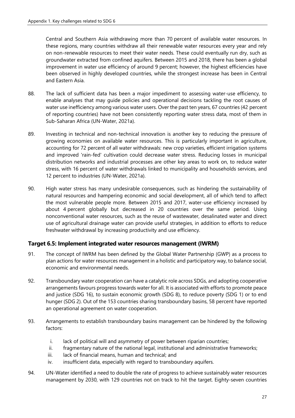Central and Southern Asia withdrawing more than 70 percent of available water resources. In these regions, many countries withdraw all their renewable water resources every year and rely on non-renewable resources to meet their water needs. These could eventually run dry, such as groundwater extracted from confined aquifers. Between 2015 and 2018, there has been a global improvement in water use efficiency of around 9 percent; however, the highest efficiencies have been observed in highly developed countries, while the strongest increase has been in Central and Eastern Asia.

- 88. The lack of sufficient data has been a major impediment to assessing water-use efficiency, to enable analyses that may guide policies and operational decisions tackling the root causes of water use inefficiency among various water users. Over the past ten years, 67 countries (42 percent of reporting countries) have not been consistently reporting water stress data, most of them in Sub-Saharan Africa (UN-Water, 2021a).
- 89. Investing in technical and non-technical innovation is another key to reducing the pressure of growing economies on available water resources. This is particularly important in agriculture, accounting for 72 percent of all water withdrawals: new crop varieties, efficient irrigation systems and improved 'rain-fed' cultivation could decrease water stress. Reducing losses in municipal distribution networks and industrial processes are other key areas to work on, to reduce water stress, with 16 percent of water withdrawals linked to municipality and households services, and 12 percent to industries (UN-Water, 2021a).
- 90. High water stress has many undesirable consequences, such as hindering the sustainability of natural resources and hampering economic and social development, all of which tend to affect the most vulnerable people more. Between 2015 and 2017, water-use efficiency increased by about 4 percent globally but decreased in 20 countries over the same period. Using nonconventional water resources, such as the reuse of wastewater, desalinated water and direct use of agricultural drainage water can provide useful strategies, in addition to efforts to reduce freshwater withdrawal by increasing productivity and use efficiency.

#### **Target 6.5: Implement integrated water resources management (IWRM)**

- 91. The concept of IWRM has been defined by the Global Water Partnership (GWP) as a process to plan actions for water resources management in a holistic and participatory way, to balance social, economic and environmental needs.
- 92. Transboundary water cooperation can have a catalytic role across SDGs, and adopting cooperative arrangements favours progress towards water for all. It is associated with efforts to promote peace and justice (SDG 16), to sustain economic growth (SDG 8), to reduce poverty (SDG 1) or to end hunger (SDG 2). Out of the 153 countries sharing transboundary basins, 58 percent have reported an operational agreement on water cooperation.
- 93. Arrangements to establish transboundary basins management can be hindered by the following factors:
	- i. lack of political will and asymmetry of power between riparian countries;
	- ii. fragmentary nature of the national legal, institutional and administrative frameworks;
	- iii. lack of financial means, human and technical; and
	- iv. insufficient data, especially with regard to transboundary aquifers.
- 94. UN-Water identified a need to double the rate of progress to achieve sustainably water resources management by 2030, with 129 countries not on track to hit the target. Eighty-seven countries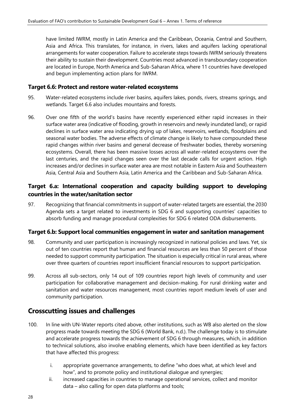have limited IWRM, mostly in Latin America and the Caribbean, Oceania, Central and Southern, Asia and Africa. This translates, for instance, in rivers, lakes and aquifers lacking operational arrangements for water cooperation. Failure to accelerate steps towards IWRM seriously threatens their ability to sustain their development. Countries most advanced in transboundary cooperation are located in Europe, North America and Sub-Saharan Africa, where 11 countries have developed and begun implementing action plans for IWRM.

#### **Target 6.6: Protect and restore water-related ecosystems**

- 95. Water-related ecosystems include river basins, aquifers lakes, ponds, rivers, streams springs, and wetlands. Target 6.6 also includes mountains and forests.
- 96. Over one fifth of the world's basins have recently experienced either rapid increases in their surface water area (indicative of flooding, growth in reservoirs and newly inundated land), or rapid declines in surface water area indicating drying up of lakes, reservoirs, wetlands, floodplains and seasonal water bodies. The adverse effects of climate change is likely to have compounded these rapid changes within river basins and general decrease of freshwater bodies, thereby worsening ecosystems. Overall, there has been massive losses across all water-related ecosystems over the last centuries, and the rapid changes seen over the last decade calls for urgent action. High increases and/or declines in surface water area are most notable in Eastern Asia and Southeastern Asia, Central Asia and Southern Asia, Latin America and the Caribbean and Sub-Saharan Africa.

#### **Target 6.a: International cooperation and capacity building support to developing countries in the water/sanitation sector**

97. Recognizing that financial commitments in support of water-related targets are essential, the 2030 Agenda sets a target related to investments in SDG 6 and supporting countries' capacities to absorb funding and manage procedural complexities for SDG 6 related ODA disbursements.

#### **Target 6.b: Support local communities engagement in water and sanitation management**

- 98. Community and user participation is increasingly recognized in national policies and laws. Yet, six out of ten countries report that human and financial resources are less than 50 percent of those needed to support community participation. The situation is especially critical in rural areas, where over three quarters of countries report insufficient financial resources to support participation.
- 99. Across all sub-sectors, only 14 out of 109 countries report high levels of community and user participation for collaborative management and decision-making. For rural drinking water and sanitation and water resources management, most countries report medium levels of user and community participation.

### **Crosscutting issues and challenges**

- 100. In line with UN-Water reports cited above, other institutions, such as WB also alerted on the slow progress made towards meeting the SDG 6 (World Bank, n.d.). The challenge today is to stimulate and accelerate progress towards the achievement of SDG 6 through measures, which, in addition to technical solutions, also involve enabling elements, which have been identified as key factors that have affected this progress:
	- i. appropriate governance arrangements, to define "who does what, at which level and how", and to promote policy and institutional dialogue and synergies;
	- ii. increased capacities in countries to manage operational services, collect and monitor data – also calling for open data platforms and tools;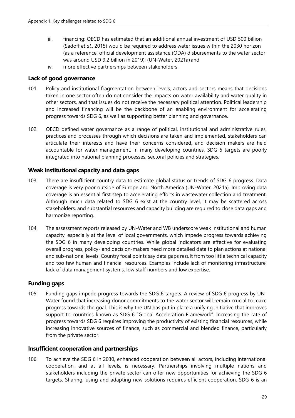- iii. financing: OECD has estimated that an additional annual investment of USD 500 billion (Sadoff *et al.*, 2015) would be required to address water issues within the 2030 horizon (as a reference, official development assistance (ODA) disbursements to the water sector was around USD 9.2 billion in 2019); (UN-Water, 2021a) and
- iv. more effective partnerships between stakeholders.

#### **Lack of good governance**

- 101. Policy and institutional fragmentation between levels, actors and sectors means that decisions taken in one sector often do not consider the impacts on water availability and water quality in other sectors, and that issues do not receive the necessary political attention. Political leadership and increased financing will be the backbone of an enabling environment for accelerating progress towards SDG 6, as well as supporting better planning and governance.
- 102. OECD defined water governance as a range of political, institutional and administrative rules, practices and processes through which decisions are taken and implemented, stakeholders can articulate their interests and have their concerns considered, and decision makers are held accountable for water management. In many developing countries, SDG 6 targets are poorly integrated into national planning processes, sectoral policies and strategies.

#### **Weak institutional capacity and data gaps**

- 103. There are insufficient country data to estimate global status or trends of SDG 6 progress. Data coverage is very poor outside of Europe and North America (UN-Water, 2021a). Improving data coverage is an essential first step to accelerating efforts in wastewater collection and treatment. Although much data related to SDG 6 exist at the country level, it may be scattered across stakeholders, and substantial resources and capacity building are required to close data gaps and harmonize reporting.
- 104. The assessment reports released by UN-Water and WB underscore weak institutional and human capacity, especially at the level of local governments, which impede progress towards achieving the SDG 6 in many developing countries. While global indicators are effective for evaluating overall progress, policy- and decision-makers need more detailed data to plan actions at national and sub-national levels. Country focal points say data gaps result from too little technical capacity and too few human and financial resources. Examples include lack of monitoring infrastructure, lack of data management systems, low staff numbers and low expertise.

#### **Funding gaps**

105. Funding gaps impede progress towards the SDG 6 targets. A review of SDG 6 progress by UN-Water found that increasing donor commitments to the water sector will remain crucial to make progress towards the goal. This is why the UN has put in place a unifying initiative that improves support to countries known as SDG 6 "Global Acceleration Framework". Increasing the rate of progress towards SDG 6 requires improving the productivity of existing financial resources, while increasing innovative sources of finance, such as commercial and blended finance, particularly from the private sector.

#### **Insufficient cooperation and partnerships**

106. To achieve the SDG 6 in 2030, enhanced cooperation between all actors, including international cooperation, and at all levels, is necessary. Partnerships involving multiple nations and stakeholders including the private sector can offer new opportunities for achieving the SDG 6 targets. Sharing, using and adapting new solutions requires efficient cooperation. SDG 6 is an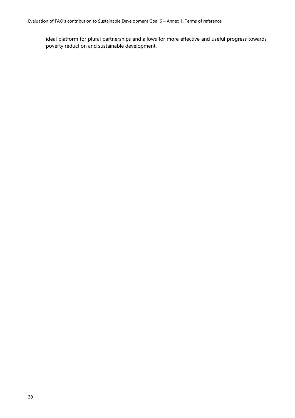ideal platform for plural partnerships and allows for more effective and useful progress towards poverty reduction and sustainable development.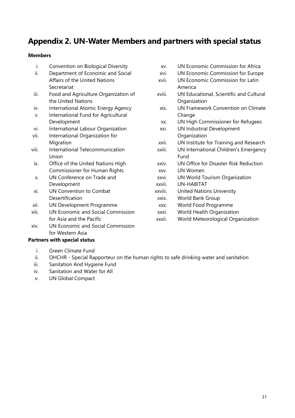# <span id="page-33-0"></span>**Appendix 2. UN-Water Members and partners with special status**

#### **Members**

- i. Convention on Biological Diversity
- ii. Department of Economic and Social Affairs of the United Nations Secretariat
- iii. Food and Agriculture Organization of the United Nations
- iv. International Atomic Energy Agency
- v. International Fund for Agricultural Development
- vi. International Labour Organization
- vii. International Organization for **Migration**
- viii. International Telecommunication Union
- ix. Office of the United Nations High Commissioner for Human Rights
- x. UN Conference on Trade and Development
- xi. UN Convention to Combat Desertification
- xii. UN Development Programme
- xiii. UN Economic and Social Commission for Asia and the Pacific
- xiv. UN Economic and Social Commission for Western Asia

#### **Partners with special status**

- i. Green Climate Fund
- ii. OHCHR Special Rapporteur on the human rights to safe drinking water and sanitation
- iii. Sanitation And Hygiene Fund
- iv. Sanitation and Water for All
- v. UN Global Compact
- xv. UN Economic Commission for Africa
- xvi. UN Economic Commission for Europe
- xvii. UN Economic Commission for Latin America
- xviii. UN Educational, Scientific and Cultural **Organization**
- xix. UN Framework Convention on Climate Change
- xx. UN High Commissioner for Refugees
- xxi. UN Industrial Development **Organization**
- xxii. UN Institute for Training and Research
- xxiii. UN International Children's Emergency Fund
- xxiv. UN Office for Disaster Risk Reduction
- xxv. UN Women
- xxvi. UN World Tourism Organization
- xxvii. UN-HABITAT
- xxviii. United Nations University
- xxix. World Bank Group
	- xxx. World Food Programme
- xxxi. World Health Organization
- xxxii. World Meteorological Organization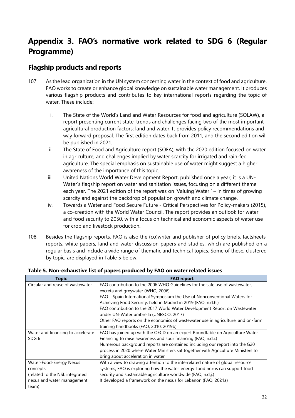# <span id="page-34-0"></span>**Appendix 3. FAO's normative work related to SDG 6 (Regular Programme)**

# **Flagship products and reports**

- 107. As the lead organization in the UN system concerning water in the context of food and agriculture, FAO works to create or enhance global knowledge on sustainable water management. It produces various flagship products and contributes to key international reports regarding the topic of water. These include:
	- i. The State of the World's Land and Water Resources for food and agriculture (SOLAW), a report presenting current state, trends and challenges facing two of the most important agricultural production factors: land and water. It provides policy recommendations and way forward proposal. The first edition dates back from 2011, and the second edition will be published in 2021.
	- ii. The State of Food and Agriculture report (SOFA), with the 2020 edition focused on water in agriculture, and challenges implied by water scarcity for irrigated and rain-fed agriculture. The special emphasis on sustainable use of water might suggest a higher awareness of the importance of this topic.
	- iii. United Nations World Water Development Report, published once a year, it is a UN-Water's flagship report on water and sanitation issues, focusing on a different theme each year. The 2021 edition of the report was on 'Valuing Water ' – in times of growing scarcity and against the backdrop of population growth and climate change.
	- iv. Towards a Water and Food Secure Future Critical Perspectives for Policy-makers (2015), a co-creation with the World Water Council. The report provides an outlook for water and food security to 2050, with a focus on technical and economic aspects of water use for crop and livestock production.
- 108. Besides the flagship reports, FAO is also the (co)writer and publisher of policy briefs, factsheets, reports, white papers, land and water discussion papers and studies, which are published on a regular basis and include a wide range of thematic and technical topics. Some of these, clustered by topic, are displayed in Table 5 below.

| <b>Topic</b>                      | <b>FAO</b> report                                                                |
|-----------------------------------|----------------------------------------------------------------------------------|
| Circular and reuse of wastewater  | FAO contribution to the 2006 WHO Guidelines for the safe use of wastewater.      |
|                                   | excreta and greywater (WHO, 2006)                                                |
|                                   | FAO - Spain International Symposium the Use of Nonconventional Waters for        |
|                                   | Achieving Food Security, held in Madrid in 2019 (FAO, n.d.h.)                    |
|                                   | FAO contribution to the 2017 World Water Development Report on Wastewater        |
|                                   | under UN-Water umbrella (UNESCO, 2017)                                           |
|                                   | Other FAO reports on the economics of wastewater use in agriculture, and on-farm |
|                                   | training handbooks (FAO, 2010; 2019b)                                            |
| Water and financing to accelerate | FAO has joined up with the OECD on an expert Roundtable on Agriculture Water     |
| SDG <sub>6</sub>                  | Financing to raise awareness and spur financing (FAO, n.d.i.)                    |
|                                   | Numerous background reports are contained including our report into the G20      |
|                                   | process in 2020 where Water Ministers sat together with Agriculture Ministers to |
|                                   | bring about acceleration in water                                                |
| Water-Food-Energy Nexus           | With a view to drawing attention to the interrelated nature of global resource   |
| concepts                          | systems, FAO is exploring how the water-energy-food nexus can support food       |
| (related to the NSL integrated    | security and sustainable agriculture worldwide (FAO, n.d.j.)                     |
| nexus and water management        | It developed a framework on the nexus for Lebanon (FAO, 2021a)                   |
| team)                             |                                                                                  |

#### <span id="page-34-1"></span>**Table 5. Non-exhaustive list of papers produced by FAO on water related issues**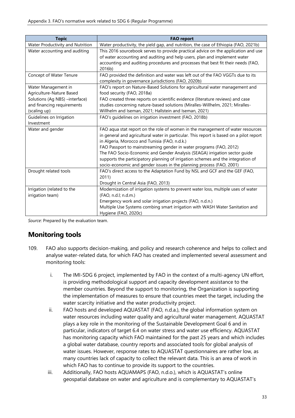| <b>Topic</b>                     | <b>FAO</b> report                                                                       |
|----------------------------------|-----------------------------------------------------------------------------------------|
| Water Productivity and Nutrition | Water productivity, the yield gap, and nutrition, the case of Ethiopia (FAO, 2021b)     |
| Water accounting and auditing    | This 2016 sourcebook serves to provide practical advice on the application and use      |
|                                  | of water accounting and auditing and help users, plan and implement water               |
|                                  | accounting and auditing procedures and processes that best fit their needs (FAO,        |
|                                  | 2016b)                                                                                  |
| Concept of Water Tenure          | FAO provided the definition and water was left out of the FAO VGGTs due to its          |
|                                  | complexity in governance jurisdictions (FAO, 2020b)                                     |
| Water Management in              | FAO's report on Nature-Based Solutions for agricultural water management and            |
| Agriculture-Nature Based         | food security (FAO, 2018a)                                                              |
| Solutions (Ag NBS) -interface)   | FAO created three reports on scientific evidence (literature reviews) and case          |
| and financing requirements       | studies concerning nature-based solutions (Miralles-Willhelm, 2021; Miralles-           |
| (scaling up)                     | Willhelm and Iseman, 2021; Hallstein and Iseman, 2021)                                  |
| Guidelines on Irrigation         | FAO's guidelines on irrigation investment (FAO, 2018b)                                  |
| Investment                       |                                                                                         |
| Water and gender                 | FAO aqua stat report on the role of women in the management of water resources          |
|                                  | in general and agricultural water in particular. This report is based on a pilot report |
|                                  | in Algeria, Morocco and Tunisia (FAO, n.d.k.)                                           |
|                                  | FAO Passport to mainstreaming gender in water programs (FAO, 2012)                      |
|                                  | The FAO Socio-Economic and Gender Analysis (SEAGA) irrigation sector guide              |
|                                  | supports the participatory planning of irrigation schemes and the integration of        |
|                                  | socio-economic and gender issues in the planning process (FAO, 2001)                    |
| Drought related tools            | FAO's direct access to the Adaptation Fund by NSL and GCF and the GEF (FAO,             |
|                                  | 2011)                                                                                   |
|                                  | Drought in Central Asia (FAO, 2013)                                                     |
| Irrigation (related to the       | Modernization of irrigation systems to prevent water loss, multiple uses of water       |
| irrigation team)                 | (FAO, n.d.l; n.d.m.)                                                                    |
|                                  | Emergency work and solar irrigation projects (FAO, n.d.n.)                              |
|                                  | Multiple Use Systems combing smart irrigation with WASH Water Sanitation and            |
|                                  | Hygiene (FAO, 2020c)                                                                    |

*Source*: Prepared by the evaluation team.

# **Monitoring tools**

- 109. FAO also supports decision-making, and policy and research coherence and helps to collect and analyse water-related data, for which FAO has created and implemented several assessment and monitoring tools:
	- i. The IMI-SDG 6 project, implemented by FAO in the context of a multi-agency UN effort, is providing methodological support and capacity development assistance to the member countries. Beyond the support to monitoring, the Organization is supporting the implementation of measures to ensure that countries meet the target, including the water scarcity initiative and the water productivity project.
	- ii. FAO hosts and developed AQUASTAT (FAO, n.d.a.), the global information system on water resources including water quality and agricultural water management. AQUASTAT plays a key role in the monitoring of the Sustainable Development Goal 6 and in particular, indicators of target 6.4 on water stress and water use efficiency. AQUASTAT has monitoring capacity which FAO maintained for the past 25 years and which includes a global water database, country reports and associated tools for global analysis of water issues. However, response rates to AQUASTAT questionnaires are rather low, as many countries lack of capacity to collect the relevant data. This is an area of work in which FAO has to continue to provide its support to the countries.
	- iii. Additionally, FAO hosts AQUAMAPS (FAO, n.d.o.), which is AQUASTAT's online geospatial database on water and agriculture and is complementary to AQUASTAT's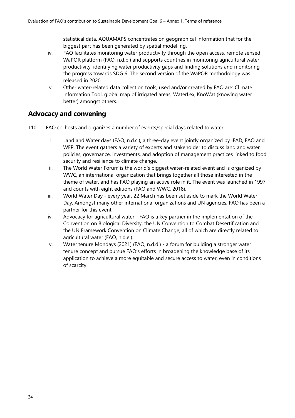statistical data. AQUAMAPS concentrates on geographical information that for the biggest part has been generated by spatial modelling.

- iv. FAO facilitates monitoring water productivity through the open access, remote sensed WaPOR platform (FAO, n.d.b.) and supports countries in monitoring agricultural water productivity, identifying water productivity gaps and finding solutions and monitoring the progress towards SDG 6. The second version of the WaPOR methodology was released in 2020.
- v. Other water-related data collection tools, used and/or created by FAO are: Climate Information Tool, global map of irrigated areas, WaterLex, KnoWat (knowing water better) amongst others.

# **Advocacy and convening**

- 110. FAO co-hosts and organizes a number of events/special days related to water:
	- i. Land and Water days (FAO, n.d.c.), a three-day event jointly organized by IFAD, FAO and WFP. The event gathers a variety of experts and stakeholder to discuss land and water policies, governance, investments, and adoption of management practices linked to food security and resilience to climate change.
	- ii. The World Water Forum is the world's biggest water-related event and is organized by WWC, an international organization that brings together all those interested in the theme of water, and has FAO playing an active role in it. The event was launched in 1997 and counts with eight editions (FAO and WWC, 2018).
	- iii. World Water Day every year, 22 March has been set aside to mark the World Water Day. Amongst many other international organizations and UN agencies, FAO has been a partner for this event.
	- iv. Advocacy for agricultural water FAO is a key partner in the implementation of the Convention on Biological Diversity, the UN Convention to Combat Desertification and the UN Framework Convention on Climate Change, all of which are directly related to agricultural water (FAO, n.d.e.).
	- v. Water tenure Mondays (2021) (FAO, n.d.d.) a forum for building a stronger water tenure concept and pursue FAO's efforts in broadening the knowledge base of its application to achieve a more equitable and secure access to water, even in conditions of scarcity.